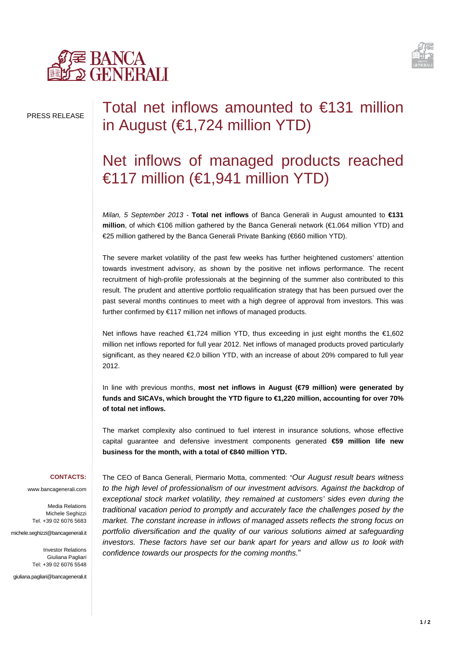



## PRESS RELEASE

# Total net inflows amounted to €131 million in August (€1,724 million YTD)

# Net inflows of managed products reached €117 million (€1,941 million YTD)

*Milan, 5 September 2013 -* **Total net inflows** of Banca Generali in August amounted to **€131 million**, of which €106 million gathered by the Banca Generali network (€1.064 million YTD) and €25 million gathered by the Banca Generali Private Banking (€660 million YTD).

The severe market volatility of the past few weeks has further heightened customers' attention towards investment advisory, as shown by the positive net inflows performance. The recent recruitment of high-profile professionals at the beginning of the summer also contributed to this result. The prudent and attentive portfolio requalification strategy that has been pursued over the past several months continues to meet with a high degree of approval from investors. This was further confirmed by €117 million net inflows of managed products.

Net inflows have reached €1,724 million YTD, thus exceeding in just eight months the €1,602 million net inflows reported for full year 2012. Net inflows of managed products proved particularly significant, as they neared €2.0 billion YTD, with an increase of about 20% compared to full year 2012.

In line with previous months, **most net inflows in August (€79 million) were generated by funds and SICAVs, which brought the YTD figure to €1,220 million, accounting for over 70% of total net inflows.**

The market complexity also continued to fuel interest in insurance solutions, whose effective capital guarantee and defensive investment components generated **€59 million life new business for the month, with a total of €840 million YTD.**

#### **CONTACTS:**

www.bancagenerali.com

Media Relations Michele Seghizzi Tel. +39 02 6076 5683

michele.seghizzi@bancagenerali.it

Investor Relations Giuliana Pagliari Tel: +39 02 6076 5548

giuliana.pagliari@bancagenerali.it

The CEO of Banca Generali, Piermario Motta, commented: "*Our August result bears witness to the high level of professionalism of our investment advisors. Against the backdrop of exceptional stock market volatility, they remained at customers' sides even during the traditional vacation period to promptly and accurately face the challenges posed by the market. The constant increase in inflows of managed assets reflects the strong focus on portfolio diversification and the quality of our various solutions aimed at safeguarding investors. These factors have set our bank apart for years and allow us to look with confidence towards our prospects for the coming months.*"